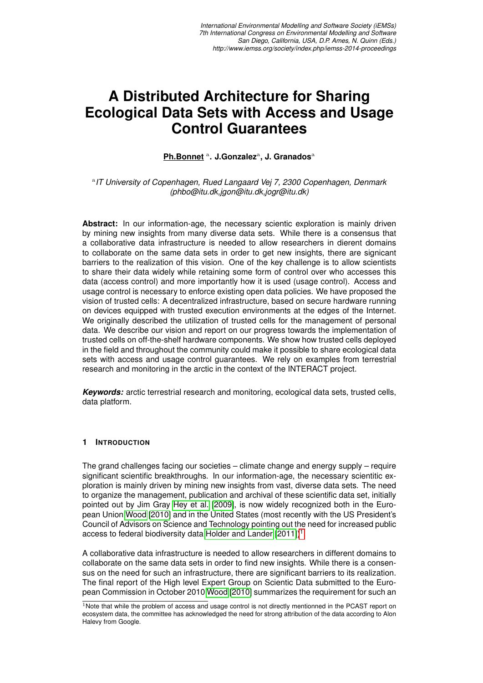**Ph.Bonnet** <sup>a</sup> **. J.Gonzalez**<sup>a</sup> **, J. Granados**<sup>a</sup>

a *IT University of Copenhagen, Rued Langaard Vej 7, 2300 Copenhagen, Denmark (phbo@itu.dk,jgon@itu.dk,jogr@itu.dk)*

**Abstract:** In our information-age, the necessary scientic exploration is mainly driven by mining new insights from many diverse data sets. While there is a consensus that a collaborative data infrastructure is needed to allow researchers in dierent domains to collaborate on the same data sets in order to get new insights, there are signicant barriers to the realization of this vision. One of the key challenge is to allow scientists to share their data widely while retaining some form of control over who accesses this data (access control) and more importantly how it is used (usage control). Access and usage control is necessary to enforce existing open data policies. We have proposed the vision of trusted cells: A decentralized infrastructure, based on secure hardware running on devices equipped with trusted execution environments at the edges of the Internet. We originally described the utilization of trusted cells for the management of personal data. We describe our vision and report on our progress towards the implementation of trusted cells on off-the-shelf hardware components. We show how trusted cells deployed in the field and throughout the community could make it possible to share ecological data sets with access and usage control guarantees. We rely on examples from terrestrial research and monitoring in the arctic in the context of the INTERACT project.

*Keywords:* arctic terrestrial research and monitoring, ecological data sets, trusted cells, data platform.

#### **1 INTRODUCTION**

The grand challenges facing our societies – climate change and energy supply – require significant scientific breakthroughs. In our information-age, the necessary scientitic exploration is mainly driven by mining new insights from vast, diverse data sets. The need to organize the management, publication and archival of these scientific data set, initially pointed out by Jim Gray [Hey et al.](#page-7-0) [\[2009\]](#page-7-0), is now widely recognized both in the European Union [Wood](#page-7-1) [\[2010\]](#page-7-1) and in the United States (most recently with the US President's Council of Advisors on Science and Technology pointing out the need for increased public access to federal biodiversity data [Holder and Lander](#page-7-2)  $[2011]$ <sup>[1](#page-0-0)</sup>.

A collaborative data infrastructure is needed to allow researchers in different domains to collaborate on the same data sets in order to find new insights. While there is a consensus on the need for such an infrastructure, there are significant barriers to its realization. The final report of the High level Expert Group on Scientic Data submitted to the European Commission in October 2010 [Wood](#page-7-1) [\[2010\]](#page-7-1) summarizes the requirement for such an

<span id="page-0-0"></span> $1$ Note that while the problem of access and usage control is not directly mentionned in the PCAST report on ecosystem data, the committee has acknowledged the need for strong attribution of the data according to Alon Halevy from Google.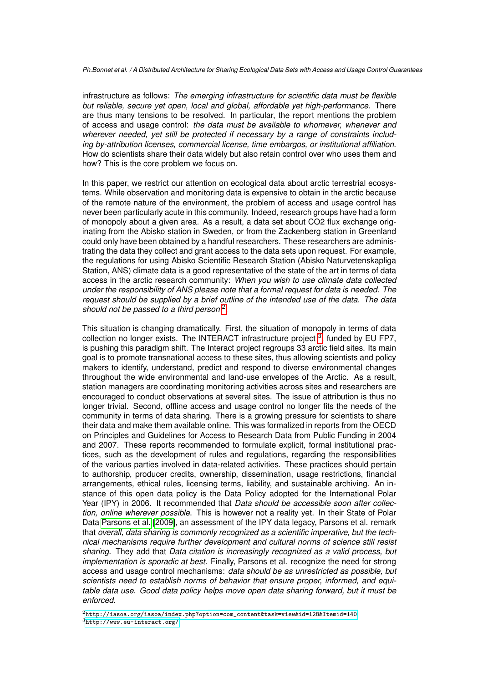infrastructure as follows: *The emerging infrastructure for scientific data must be flexible but reliable, secure yet open, local and global, affordable yet high-performance*. There are thus many tensions to be resolved. In particular, the report mentions the problem of access and usage control: *the data must be available to whomever, whenever and wherever needed, yet still be protected if necessary by a range of constraints including by-attribution licenses, commercial license, time embargos, or institutional affiliation*. How do scientists share their data widely but also retain control over who uses them and how? This is the core problem we focus on.

In this paper, we restrict our attention on ecological data about arctic terrestrial ecosystems. While observation and monitoring data is expensive to obtain in the arctic because of the remote nature of the environment, the problem of access and usage control has never been particularly acute in this community. Indeed, research groups have had a form of monopoly about a given area. As a result, a data set about CO2 flux exchange originating from the Abisko station in Sweden, or from the Zackenberg station in Greenland could only have been obtained by a handful researchers. These researchers are administrating the data they collect and grant access to the data sets upon request. For example, the regulations for using Abisko Scientific Research Station (Abisko Naturvetenskapliga Station, ANS) climate data is a good representative of the state of the art in terms of data access in the arctic research community: *When you wish to use climate data collected under the responsibility of ANS please note that a formal request for data is needed. The request should be supplied by a brief outline of the intended use of the data. The data should not be passed to a third person* [2](#page-1-0) .

This situation is changing dramatically. First, the situation of monopoly in terms of data collection no longer exists. The INTERACT infrastructure project  $3$ , funded by EU FP7, is pushing this paradigm shift. The Interact project regroups 33 arctic field sites. Its main goal is to promote transnational access to these sites, thus allowing scientists and policy makers to identify, understand, predict and respond to diverse environmental changes throughout the wide environmental and land-use envelopes of the Arctic. As a result, station managers are coordinating monitoring activities across sites and researchers are encouraged to conduct observations at several sites. The issue of attribution is thus no longer trivial. Second, offline access and usage control no longer fits the needs of the community in terms of data sharing. There is a growing pressure for scientists to share their data and make them available online. This was formalized in reports from the OECD on Principles and Guidelines for Access to Research Data from Public Funding in 2004 and 2007. These reports recommended to formulate explicit, formal institutional practices, such as the development of rules and regulations, regarding the responsibilities of the various parties involved in data-related activities. These practices should pertain to authorship, producer credits, ownership, dissemination, usage restrictions, financial arrangements, ethical rules, licensing terms, liability, and sustainable archiving. An instance of this open data policy is the Data Policy adopted for the International Polar Year (IPY) in 2006. It recommended that *Data should be accessible soon after collection, online wherever possible*. This is however not a reality yet. In their State of Polar Data [Parsons et al.](#page-7-3) [\[2009\]](#page-7-3), an assessment of the IPY data legacy, Parsons et al. remark that *overall, data sharing is commonly recognized as a scientific imperative, but the technical mechanisms require further development and cultural norms of science still resist sharing*. They add that *Data citation is increasingly recognized as a valid process, but implementation is sporadic at best*. Finally, Parsons et al. recognize the need for strong access and usage control mechanisms: *data should be as unrestricted as possible, but scientists need to establish norms of behavior that ensure proper, informed, and equitable data use. Good data policy helps move open data sharing forward, but it must be enforced*.

<span id="page-1-1"></span><span id="page-1-0"></span> $^2$ [http://iasoa.org/iasoa/index.php?option=com\\_content&task=view&id=128&Itemid=140](http://iasoa.org/iasoa/index.php?option=com_content&task=view&id=128&Itemid=140) <sup>3</sup><http://www.eu-interact.org/>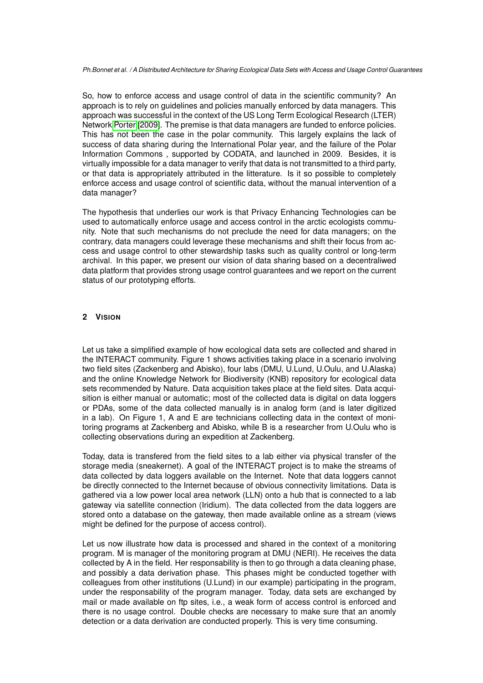So, how to enforce access and usage control of data in the scientific community? An approach is to rely on guidelines and policies manually enforced by data managers. This approach was successful in the context of the US Long Term Ecological Research (LTER) Network [Porter](#page-7-4) [\[2009\]](#page-7-4). The premise is that data managers are funded to enforce policies. This has not been the case in the polar community. This largely explains the lack of success of data sharing during the International Polar year, and the failure of the Polar Information Commons , supported by CODATA, and launched in 2009. Besides, it is virtually impossible for a data manager to verify that data is not transmitted to a third party, or that data is appropriately attributed in the litterature. Is it so possible to completely enforce access and usage control of scientific data, without the manual intervention of a data manager?

The hypothesis that underlies our work is that Privacy Enhancing Technologies can be used to automatically enforce usage and access control in the arctic ecologists community. Note that such mechanisms do not preclude the need for data managers; on the contrary, data managers could leverage these mechanisms and shift their focus from access and usage control to other stewardship tasks such as quality control or long-term archival. In this paper, we present our vision of data sharing based on a decentraliwed data platform that provides strong usage control guarantees and we report on the current status of our prototyping efforts.

## **2 VISION**

Let us take a simplified example of how ecological data sets are collected and shared in the INTERACT community. Figure 1 shows activities taking place in a scenario involving two field sites (Zackenberg and Abisko), four labs (DMU, U.Lund, U.Oulu, and U.Alaska) and the online Knowledge Network for Biodiversity (KNB) repository for ecological data sets recommended by Nature. Data acquisition takes place at the field sites. Data acquisition is either manual or automatic; most of the collected data is digital on data loggers or PDAs, some of the data collected manually is in analog form (and is later digitized in a lab). On Figure 1, A and E are technicians collecting data in the context of monitoring programs at Zackenberg and Abisko, while B is a researcher from U.Oulu who is collecting observations during an expedition at Zackenberg.

Today, data is transfered from the field sites to a lab either via physical transfer of the storage media (sneakernet). A goal of the INTERACT project is to make the streams of data collected by data loggers available on the Internet. Note that data loggers cannot be directly connected to the Internet because of obvious connectivity limitations. Data is gathered via a low power local area network (LLN) onto a hub that is connected to a lab gateway via satellite connection (Iridium). The data collected from the data loggers are stored onto a database on the gateway, then made available online as a stream (views might be defined for the purpose of access control).

Let us now illustrate how data is processed and shared in the context of a monitoring program. M is manager of the monitoring program at DMU (NERI). He receives the data collected by A in the field. Her responsability is then to go through a data cleaning phase, and possibly a data derivation phase. This phases might be conducted together with colleagues from other institutions (U.Lund) in our example) participating in the program, under the responsability of the program manager. Today, data sets are exchanged by mail or made available on ftp sites, i.e., a weak form of access control is enforced and there is no usage control. Double checks are necessary to make sure that an anomly detection or a data derivation are conducted properly. This is very time consuming.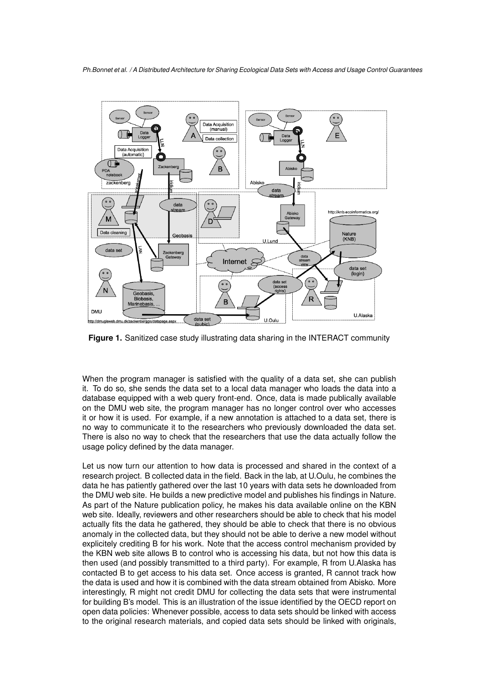

**Figure 1.** Sanitized case study illustrating data sharing in the INTERACT community

When the program manager is satisfied with the quality of a data set, she can publish it. To do so, she sends the data set to a local data manager who loads the data into a database equipped with a web query front-end. Once, data is made publically available on the DMU web site, the program manager has no longer control over who accesses it or how it is used. For example, if a new annotation is attached to a data set, there is no way to communicate it to the researchers who previously downloaded the data set. There is also no way to check that the researchers that use the data actually follow the usage policy defined by the data manager.

Let us now turn our attention to how data is processed and shared in the context of a research project. B collected data in the field. Back in the lab, at U.Oulu, he combines the data he has patiently gathered over the last 10 years with data sets he downloaded from the DMU web site. He builds a new predictive model and publishes his findings in Nature. As part of the Nature publication policy, he makes his data available online on the KBN web site. Ideally, reviewers and other researchers should be able to check that his model actually fits the data he gathered, they should be able to check that there is no obvious anomaly in the collected data, but they should not be able to derive a new model without explicitely crediting B for his work. Note that the access control mechanism provided by the KBN web site allows B to control who is accessing his data, but not how this data is then used (and possibly transmitted to a third party). For example, R from U.Alaska has contacted B to get access to his data set. Once access is granted, R cannot track how the data is used and how it is combined with the data stream obtained from Abisko. More interestingly, R might not credit DMU for collecting the data sets that were instrumental for building B's model. This is an illustration of the issue identified by the OECD report on open data policies: Whenever possible, access to data sets should be linked with access to the original research materials, and copied data sets should be linked with originals,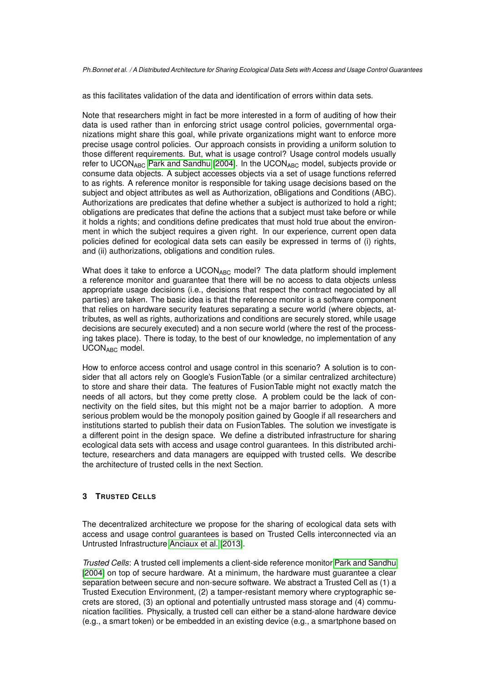as this facilitates validation of the data and identification of errors within data sets.

Note that researchers might in fact be more interested in a form of auditing of how their data is used rather than in enforcing strict usage control policies, governmental organizations might share this goal, while private organizations might want to enforce more precise usage control policies. Our approach consists in providing a uniform solution to those different requirements. But, what is usage control? Usage control models usually refer to UCON<sub>ABC</sub> [Park and Sandhu](#page-7-5) [\[2004\]](#page-7-5). In the UCON<sub>ABC</sub> model, subjects provide or consume data objects. A subject accesses objects via a set of usage functions referred to as rights. A reference monitor is responsible for taking usage decisions based on the subject and object attributes as well as Authorization, oBligations and Conditions (ABC). Authorizations are predicates that define whether a subject is authorized to hold a right; obligations are predicates that define the actions that a subject must take before or while it holds a rights; and conditions define predicates that must hold true about the environment in which the subject requires a given right. In our experience, current open data policies defined for ecological data sets can easily be expressed in terms of (i) rights, and (ii) authorizations, obligations and condition rules.

What does it take to enforce a UCONABC model? The data platform should implement a reference monitor and guarantee that there will be no access to data objects unless appropriate usage decisions (i.e., decisions that respect the contract negociated by all parties) are taken. The basic idea is that the reference monitor is a software component that relies on hardware security features separating a secure world (where objects, attributes, as well as rights, authorizations and conditions are securely stored, while usage decisions are securely executed) and a non secure world (where the rest of the processing takes place). There is today, to the best of our knowledge, no implementation of any UCONABC model.

How to enforce access control and usage control in this scenario? A solution is to consider that all actors rely on Google's FusionTable (or a similar centralized architecture) to store and share their data. The features of FusionTable might not exactly match the needs of all actors, but they come pretty close. A problem could be the lack of connectivity on the field sites, but this might not be a major barrier to adoption. A more serious problem would be the monopoly position gained by Google if all researchers and institutions started to publish their data on FusionTables. The solution we investigate is a different point in the design space. We define a distributed infrastructure for sharing ecological data sets with access and usage control guarantees. In this distributed architecture, researchers and data managers are equipped with trusted cells. We describe the architecture of trusted cells in the next Section.

## **3 TRUSTED CELLS**

The decentralized architecture we propose for the sharing of ecological data sets with access and usage control guarantees is based on Trusted Cells interconnected via an Untrusted Infrastructure [Anciaux et al.](#page-7-6) [\[2013\]](#page-7-6).

*Trusted Cells*: A trusted cell implements a client-side reference monitor [Park and Sandhu](#page-7-5) [\[2004\]](#page-7-5) on top of secure hardware. At a minimum, the hardware must guarantee a clear separation between secure and non-secure software. We abstract a Trusted Cell as (1) a Trusted Execution Environment, (2) a tamper-resistant memory where cryptographic secrets are stored, (3) an optional and potentially untrusted mass storage and (4) communication facilities. Physically, a trusted cell can either be a stand-alone hardware device (e.g., a smart token) or be embedded in an existing device (e.g., a smartphone based on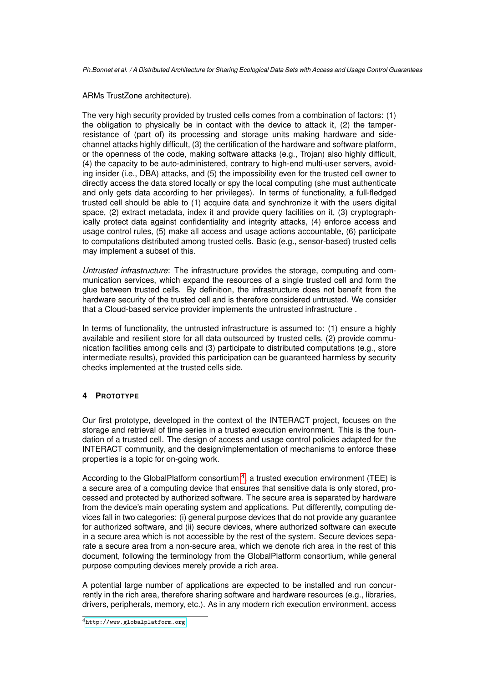ARMs TrustZone architecture).

The very high security provided by trusted cells comes from a combination of factors: (1) the obligation to physically be in contact with the device to attack it, (2) the tamperresistance of (part of) its processing and storage units making hardware and sidechannel attacks highly difficult, (3) the certification of the hardware and software platform, or the openness of the code, making software attacks (e.g., Trojan) also highly difficult, (4) the capacity to be auto-administered, contrary to high-end multi-user servers, avoiding insider (i.e., DBA) attacks, and (5) the impossibility even for the trusted cell owner to directly access the data stored locally or spy the local computing (she must authenticate and only gets data according to her privileges). In terms of functionality, a full-fledged trusted cell should be able to (1) acquire data and synchronize it with the users digital space, (2) extract metadata, index it and provide query facilities on it, (3) cryptographically protect data against confidentiality and integrity attacks, (4) enforce access and usage control rules, (5) make all access and usage actions accountable, (6) participate to computations distributed among trusted cells. Basic (e.g., sensor-based) trusted cells may implement a subset of this.

*Untrusted infrastructure*: The infrastructure provides the storage, computing and communication services, which expand the resources of a single trusted cell and form the glue between trusted cells. By definition, the infrastructure does not benefit from the hardware security of the trusted cell and is therefore considered untrusted. We consider that a Cloud-based service provider implements the untrusted infrastructure .

In terms of functionality, the untrusted infrastructure is assumed to: (1) ensure a highly available and resilient store for all data outsourced by trusted cells, (2) provide communication facilities among cells and (3) participate to distributed computations (e.g., store intermediate results), provided this participation can be guaranteed harmless by security checks implemented at the trusted cells side.

## **4 PROTOTYPE**

Our first prototype, developed in the context of the INTERACT project, focuses on the storage and retrieval of time series in a trusted execution environment. This is the foundation of a trusted cell. The design of access and usage control policies adapted for the INTERACT community, and the design/implementation of mechanisms to enforce these properties is a topic for on-going work.

According to the GlobalPlatform consortium <sup>[4](#page-5-0)</sup>, a trusted execution environment (TEE) is a secure area of a computing device that ensures that sensitive data is only stored, processed and protected by authorized software. The secure area is separated by hardware from the device's main operating system and applications. Put differently, computing devices fall in two categories: (i) general purpose devices that do not provide any guarantee for authorized software, and (ii) secure devices, where authorized software can execute in a secure area which is not accessible by the rest of the system. Secure devices separate a secure area from a non-secure area, which we denote rich area in the rest of this document, following the terminology from the GlobalPlatform consortium, while general purpose computing devices merely provide a rich area.

A potential large number of applications are expected to be installed and run concurrently in the rich area, therefore sharing software and hardware resources (e.g., libraries, drivers, peripherals, memory, etc.). As in any modern rich execution environment, access

<span id="page-5-0"></span><sup>4</sup><http://www.globalplatform.org>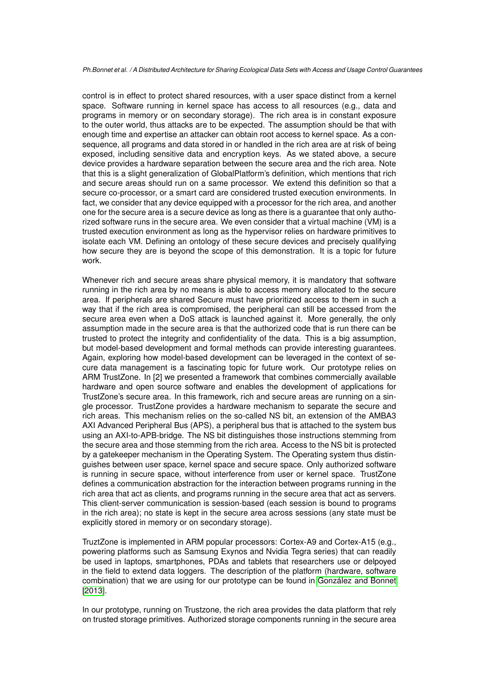control is in effect to protect shared resources, with a user space distinct from a kernel space. Software running in kernel space has access to all resources (e.g., data and programs in memory or on secondary storage). The rich area is in constant exposure to the outer world, thus attacks are to be expected. The assumption should be that with enough time and expertise an attacker can obtain root access to kernel space. As a consequence, all programs and data stored in or handled in the rich area are at risk of being exposed, including sensitive data and encryption keys. As we stated above, a secure device provides a hardware separation between the secure area and the rich area. Note that this is a slight generalization of GlobalPlatform's definition, which mentions that rich and secure areas should run on a same processor. We extend this definition so that a secure co-processor, or a smart card are considered trusted execution environments. In fact, we consider that any device equipped with a processor for the rich area, and another one for the secure area is a secure device as long as there is a guarantee that only authorized software runs in the secure area. We even consider that a virtual machine (VM) is a trusted execution environment as long as the hypervisor relies on hardware primitives to isolate each VM. Defining an ontology of these secure devices and precisely qualifying how secure they are is beyond the scope of this demonstration. It is a topic for future work.

Whenever rich and secure areas share physical memory, it is mandatory that software running in the rich area by no means is able to access memory allocated to the secure area. If peripherals are shared Secure must have prioritized access to them in such a way that if the rich area is compromised, the peripheral can still be accessed from the secure area even when a DoS attack is launched against it. More generally, the only assumption made in the secure area is that the authorized code that is run there can be trusted to protect the integrity and confidentiality of the data. This is a big assumption, but model-based development and formal methods can provide interesting guarantees. Again, exploring how model-based development can be leveraged in the context of secure data management is a fascinating topic for future work. Our prototype relies on ARM TrustZone. In [2] we presented a framework that combines commercially available hardware and open source software and enables the development of applications for TrustZone's secure area. In this framework, rich and secure areas are running on a single processor. TrustZone provides a hardware mechanism to separate the secure and rich areas. This mechanism relies on the so-called NS bit, an extension of the AMBA3 AXI Advanced Peripheral Bus (APS), a peripheral bus that is attached to the system bus using an AXI-to-APB-bridge. The NS bit distinguishes those instructions stemming from the secure area and those stemming from the rich area. Access to the NS bit is protected by a gatekeeper mechanism in the Operating System. The Operating system thus distinguishes between user space, kernel space and secure space. Only authorized software is running in secure space, without interference from user or kernel space. TrustZone defines a communication abstraction for the interaction between programs running in the rich area that act as clients, and programs running in the secure area that act as servers. This client-server communication is session-based (each session is bound to programs in the rich area); no state is kept in the secure area across sessions (any state must be explicitly stored in memory or on secondary storage).

TruztZone is implemented in ARM popular processors: Cortex-A9 and Cortex-A15 (e.g., powering platforms such as Samsung Exynos and Nvidia Tegra series) that can readily be used in laptops, smartphones, PDAs and tablets that researchers use or delpoyed in the field to extend data loggers. The description of the platform (hardware, software combination) that we are using for our prototype can be found in González and Bonnet [\[2013\]](#page-7-7).

In our prototype, running on Trustzone, the rich area provides the data platform that rely on trusted storage primitives. Authorized storage components running in the secure area